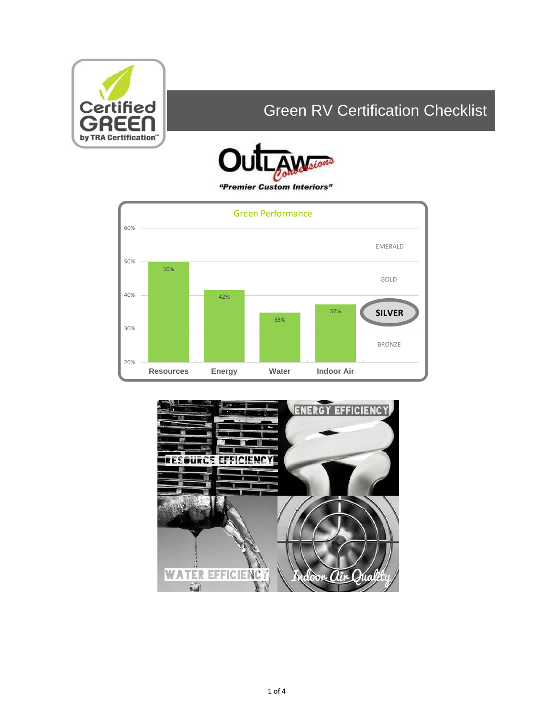

# Green RV Certification Checklist





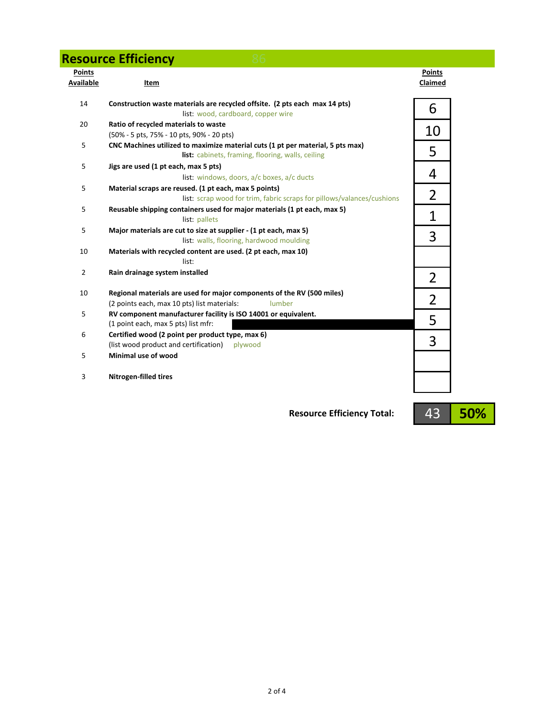|                            | <b>Resource Efficiency</b>                                                                                                          |                          |
|----------------------------|-------------------------------------------------------------------------------------------------------------------------------------|--------------------------|
| <b>Points</b><br>Available | Item                                                                                                                                | <b>Points</b><br>Claimed |
| 14                         | Construction waste materials are recycled offsite. (2 pts each max 14 pts)<br>list: wood, cardboard, copper wire                    | 6                        |
| 20                         | Ratio of recycled materials to waste<br>(50% - 5 pts, 75% - 10 pts, 90% - 20 pts)                                                   | 10                       |
| 5                          | CNC Machines utilized to maximize material cuts (1 pt per material, 5 pts max)<br>list: cabinets, framing, flooring, walls, ceiling | 5                        |
| 5                          | Jigs are used (1 pt each, max 5 pts)<br>list: windows, doors, a/c boxes, a/c ducts                                                  | 4                        |
| 5                          | Material scraps are reused. (1 pt each, max 5 points)<br>list: scrap wood for trim, fabric scraps for pillows/valances/cushions     | $\overline{2}$           |
| 5                          | Reusable shipping containers used for major materials (1 pt each, max 5)<br>list: pallets                                           | 1                        |
| 5                          | Major materials are cut to size at supplier - (1 pt each, max 5)<br>list: walls, flooring, hardwood moulding                        | 3                        |
| 10                         | Materials with recycled content are used. (2 pt each, max 10)<br>list:                                                              |                          |
| $\overline{2}$             | Rain drainage system installed                                                                                                      | 2                        |
| 10                         | Regional materials are used for major components of the RV (500 miles)<br>(2 points each, max 10 pts) list materials:<br>lumber     | $\overline{2}$           |
| 5                          | RV component manufacturer facility is ISO 14001 or equivalent.<br>(1 point each, max 5 pts) list mfr:                               | 5                        |
| 6                          | Certified wood (2 point per product type, max 6)<br>(list wood product and certification)<br>plywood                                | 3                        |
| 5                          | Minimal use of wood                                                                                                                 |                          |
| 3                          | <b>Nitrogen-filled tires</b>                                                                                                        |                          |

**Resource Efficiency Total:**

**50%** 43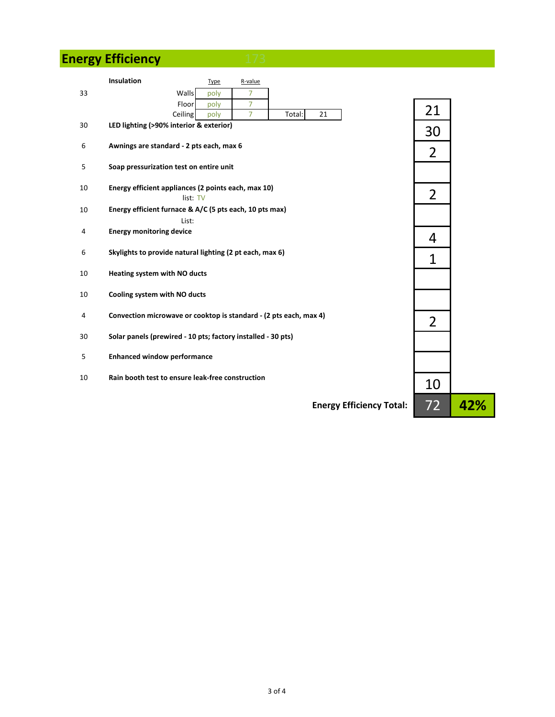# **Energy Efficiency**

|    | <b>Insulation</b><br><b>Type</b>                                  | R-value                                                            |                |     |
|----|-------------------------------------------------------------------|--------------------------------------------------------------------|----------------|-----|
| 33 | Walls<br>poly<br>Floor<br>poly<br>Ceiling<br>poly                 | $\overline{7}$<br>$\overline{7}$<br>$\overline{7}$<br>Total:<br>21 | 21             |     |
| 30 | LED lighting (>90% interior & exterior)                           |                                                                    | 30             |     |
| 6  | Awnings are standard - 2 pts each, max 6                          |                                                                    | $\overline{2}$ |     |
| 5  | Soap pressurization test on entire unit                           |                                                                    |                |     |
| 10 | Energy efficient appliances (2 points each, max 10)<br>list: TV   |                                                                    | $\overline{2}$ |     |
| 10 | Energy efficient furnace & A/C (5 pts each, 10 pts max)           |                                                                    |                |     |
| 4  | List:<br><b>Energy monitoring device</b>                          |                                                                    |                |     |
| 6  | Skylights to provide natural lighting (2 pt each, max 6)          |                                                                    | 4<br>1         |     |
| 10 | Heating system with NO ducts                                      |                                                                    |                |     |
| 10 | Cooling system with NO ducts                                      |                                                                    |                |     |
| 4  | Convection microwave or cooktop is standard - (2 pts each, max 4) |                                                                    | $\overline{2}$ |     |
| 30 | Solar panels (prewired - 10 pts; factory installed - 30 pts)      |                                                                    |                |     |
| 5  | <b>Enhanced window performance</b>                                |                                                                    |                |     |
| 10 | Rain booth test to ensure leak-free construction                  |                                                                    | 10             |     |
|    |                                                                   | <b>Energy Efficiency Total:</b>                                    | 72             | 42% |